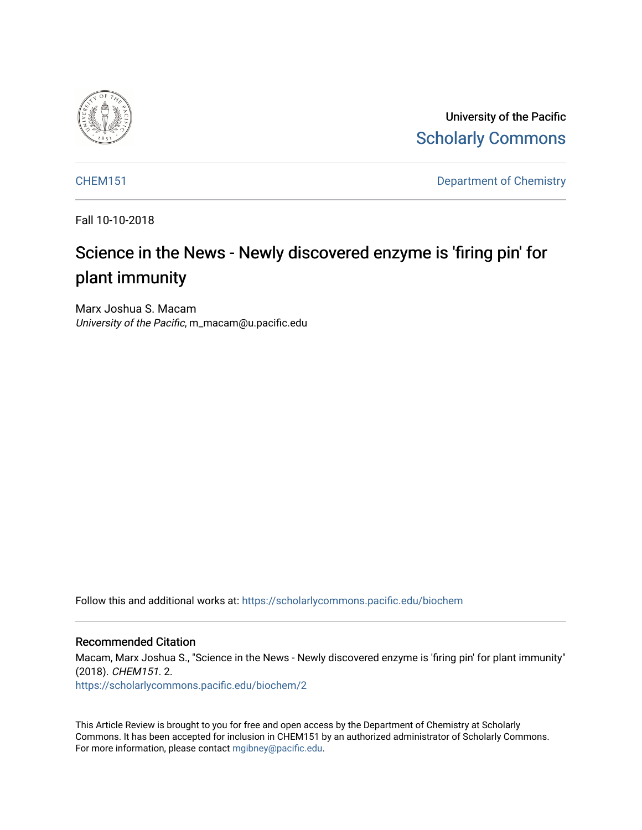

University of the Pacific [Scholarly Commons](https://scholarlycommons.pacific.edu/) 

[CHEM151](https://scholarlycommons.pacific.edu/biochem) Department of Chemistry

Fall 10-10-2018

# Science in the News - Newly discovered enzyme is 'firing pin' for plant immunity

Marx Joshua S. Macam University of the Pacific, m\_macam@u.pacific.edu

Follow this and additional works at: [https://scholarlycommons.pacific.edu/biochem](https://scholarlycommons.pacific.edu/biochem?utm_source=scholarlycommons.pacific.edu%2Fbiochem%2F2&utm_medium=PDF&utm_campaign=PDFCoverPages) 

#### Recommended Citation

Macam, Marx Joshua S., "Science in the News - Newly discovered enzyme is 'firing pin' for plant immunity" (2018). CHEM151. 2.

[https://scholarlycommons.pacific.edu/biochem/2](https://scholarlycommons.pacific.edu/biochem/2?utm_source=scholarlycommons.pacific.edu%2Fbiochem%2F2&utm_medium=PDF&utm_campaign=PDFCoverPages) 

This Article Review is brought to you for free and open access by the Department of Chemistry at Scholarly Commons. It has been accepted for inclusion in CHEM151 by an authorized administrator of Scholarly Commons. For more information, please contact [mgibney@pacific.edu.](mailto:mgibney@pacific.edu)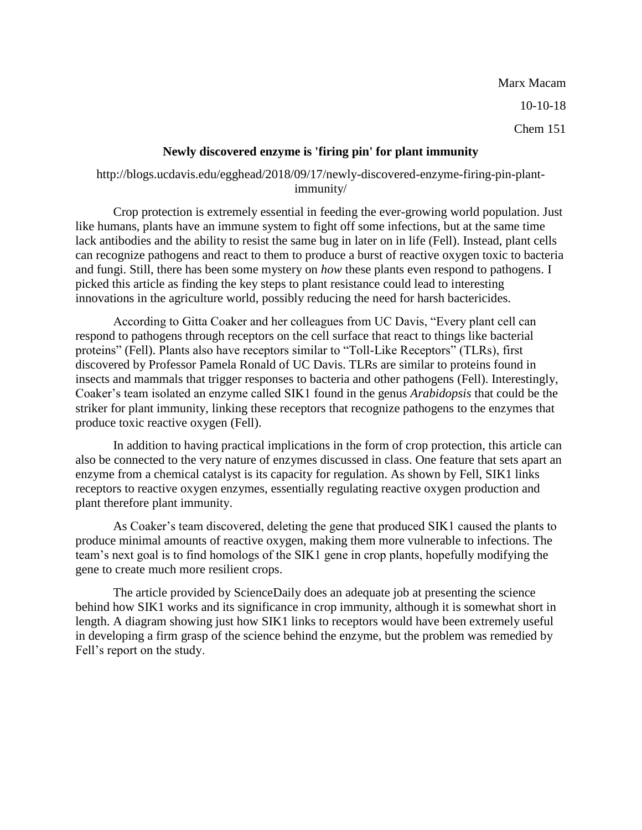Marx Macam 10-10-18 Chem 151

#### **Newly discovered enzyme is 'firing pin' for plant immunity**

### http://blogs.ucdavis.edu/egghead/2018/09/17/newly-discovered-enzyme-firing-pin-plantimmunity/

Crop protection is extremely essential in feeding the ever-growing world population. Just like humans, plants have an immune system to fight off some infections, but at the same time lack antibodies and the ability to resist the same bug in later on in life (Fell). Instead, plant cells can recognize pathogens and react to them to produce a burst of reactive oxygen toxic to bacteria and fungi. Still, there has been some mystery on *how* these plants even respond to pathogens. I picked this article as finding the key steps to plant resistance could lead to interesting innovations in the agriculture world, possibly reducing the need for harsh bactericides.

According to Gitta Coaker and her colleagues from UC Davis, "Every plant cell can respond to pathogens through receptors on the cell surface that react to things like bacterial proteins" (Fell). Plants also have receptors similar to "Toll-Like Receptors" (TLRs), first discovered by Professor Pamela Ronald of UC Davis. TLRs are similar to proteins found in insects and mammals that trigger responses to bacteria and other pathogens (Fell). Interestingly, Coaker's team isolated an enzyme called SIK1 found in the genus *Arabidopsis* that could be the striker for plant immunity, linking these receptors that recognize pathogens to the enzymes that produce toxic reactive oxygen (Fell).

In addition to having practical implications in the form of crop protection, this article can also be connected to the very nature of enzymes discussed in class. One feature that sets apart an enzyme from a chemical catalyst is its capacity for regulation. As shown by Fell, SIK1 links receptors to reactive oxygen enzymes, essentially regulating reactive oxygen production and plant therefore plant immunity.

As Coaker's team discovered, deleting the gene that produced SIK1 caused the plants to produce minimal amounts of reactive oxygen, making them more vulnerable to infections. The team's next goal is to find homologs of the SIK1 gene in crop plants, hopefully modifying the gene to create much more resilient crops.

The article provided by ScienceDaily does an adequate job at presenting the science behind how SIK1 works and its significance in crop immunity, although it is somewhat short in length. A diagram showing just how SIK1 links to receptors would have been extremely useful in developing a firm grasp of the science behind the enzyme, but the problem was remedied by Fell's report on the study.